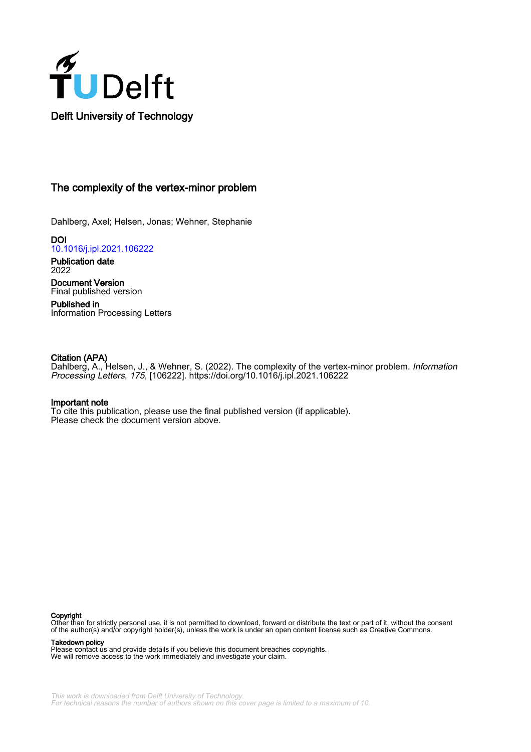

# The complexity of the vertex-minor problem

Dahlberg, Axel; Helsen, Jonas; Wehner, Stephanie

**DOI** [10.1016/j.ipl.2021.106222](https://doi.org/10.1016/j.ipl.2021.106222)

Publication date 2022 Document Version

Final published version

Published in Information Processing Letters

### Citation (APA)

Dahlberg, A., Helsen, J., & Wehner, S. (2022). The complexity of the vertex-minor problem. *Information* Processing Letters, 175, [106222]. <https://doi.org/10.1016/j.ipl.2021.106222>

## Important note

To cite this publication, please use the final published version (if applicable). Please check the document version above.

#### Copyright

Other than for strictly personal use, it is not permitted to download, forward or distribute the text or part of it, without the consent of the author(s) and/or copyright holder(s), unless the work is under an open content license such as Creative Commons.

Takedown policy

Please contact us and provide details if you believe this document breaches copyrights. We will remove access to the work immediately and investigate your claim.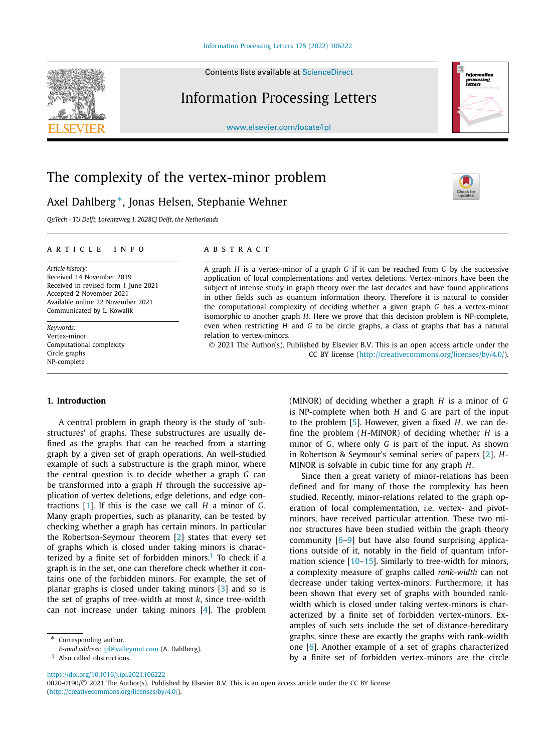Contents lists available at [ScienceDirect](http://www.ScienceDirect.com/)

# Information Processing Letters

[www.elsevier.com/locate/ipl](http://www.elsevier.com/locate/ipl)

# The complexity of the vertex-minor problem

Axel Dahlberg <sup>∗</sup>, Jonas Helsen, Stephanie Wehner

*QuTech - TU Delft, Lorentzweg 1, 2628CJ Delft, the Netherlands*

#### A R T I C L E I N F O A B S T R A C T

*Article history:* Received 14 November 2019 Received in revised form 1 June 2021 Accepted 2 November 2021 Available online 22 November 2021 Communicated by L. Kowalik

*Keywords:* Vertex-minor Computational complexity Circle graphs NP-complete

#### **1. Introduction**

A central problem in graph theory is the study of 'substructures' of graphs. These substructures are usually defined as the graphs that can be reached from a starting graph by a given set of graph operations. An well-studied example of such a substructure is the graph minor, where the central question is to decide whether a graph *G* can be transformed into a graph *H* through the successive application of vertex deletions, edge deletions, and edge contractions [\[1\]](#page-8-0). If this is the case we call *H* a minor of *G*. Many graph properties, such as planarity, can be tested by checking whether a graph has certain minors. In particular the Robertson-Seymour theorem [\[2\]](#page-8-0) states that every set of graphs which is closed under taking minors is characterized by a finite set of forbidden minors.<sup>1</sup> To check if a graph is in the set, one can therefore check whether it contains one of the forbidden minors. For example, the set of planar graphs is closed under taking minors [\[3](#page-8-0)] and so is the set of graphs of tree-width at most *k*, since tree-width can not increase under taking minors [[4](#page-8-0)]. The problem

Corresponding author.

A graph *H* is a vertex-minor of a graph *G* if it can be reached from *G* by the successive application of local complementations and vertex deletions. Vertex-minors have been the subject of intense study in graph theory over the last decades and have found applications in other fields such as quantum information theory. Therefore it is natural to consider the computational complexity of deciding whether a given graph *G* has a vertex-minor isomorphic to another graph *H*. Here we prove that this decision problem is NP-complete, even when restricting *H* and *G* to be circle graphs, a class of graphs that has a natural relation to vertex-minors.

© 2021 The Author(s). Published by Elsevier B.V. This is an open access article under the CC BY license [\(http://creativecommons.org/licenses/by/4.0/\)](http://creativecommons.org/licenses/by/4.0/).

> (MINOR) of deciding whether a graph *H* is a minor of *G* is NP-complete when both *H* and *G* are part of the input to the problem [\[5](#page-8-0)]. However, given a fixed *H*, we can define the problem (*H*-MINOR) of deciding whether *H* is a minor of *G*, where only *G* is part of the input. As shown in Robertson & Seymour's seminal series of papers [\[2\]](#page-8-0), *H*-MINOR is solvable in cubic time for any graph *H*.

> Since then a great variety of minor-relations has been defined and for many of those the complexity has been studied. Recently, minor-relations related to the graph operation of local complementation, i.e. vertex- and pivotminors, have received particular attention. These two minor structures have been studied within the graph theory community [\[6–9](#page-8-0)] but have also found surprising applications outside of it, notably in the field of quantum infor-mation science [\[10–15\]](#page-8-0). Similarly to tree-width for minors, a complexity measure of graphs called *rank-width* can not decrease under taking vertex-minors. Furthermore, it has been shown that every set of graphs with bounded rankwidth which is closed under taking vertex-minors is characterized by a finite set of forbidden vertex-minors. Examples of such sets include the set of distance-hereditary graphs, since these are exactly the graphs with rank-width one [[6\]](#page-8-0). Another example of a set of graphs characterized by a finite set of forbidden vertex-minors are the circle









*E-mail address:* [ipl@valleymnt.com](mailto:ipl@valleymnt.com) (A. Dahlberg).

<sup>1</sup> Also called obstructions.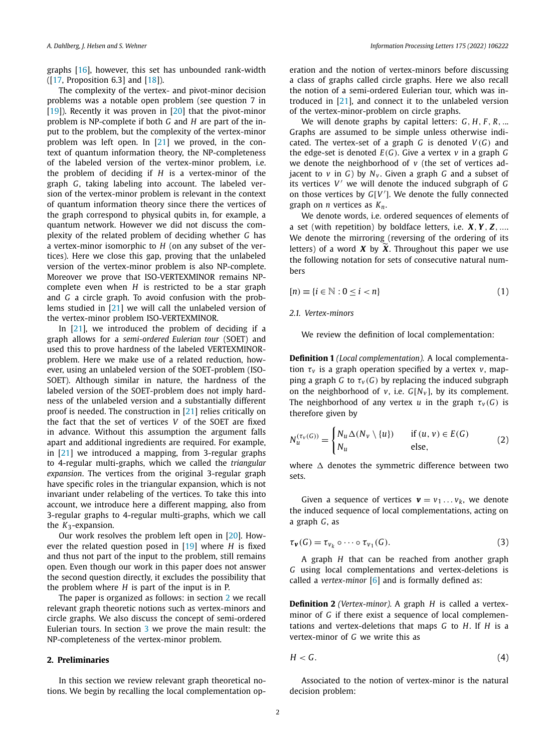graphs [\[16\]](#page-8-0), however, this set has unbounded rank-width ([[17](#page-8-0), Proposition 6.3] and [\[18\]](#page-8-0)).

The complexity of the vertex- and pivot-minor decision problems was a notable open problem (see question 7 in [[19](#page-8-0)]). Recently it was proven in [\[20\]](#page-8-0) that the pivot-minor problem is NP-complete if both *G* and *H* are part of the input to the problem, but the complexity of the vertex-minor problem was left open. In [\[21\]](#page-8-0) we proved, in the context of quantum information theory, the NP-completeness of the labeled version of the vertex-minor problem, i.e. the problem of deciding if *H* is a vertex-minor of the graph *G*, taking labeling into account. The labeled version of the vertex-minor problem is relevant in the context of quantum information theory since there the vertices of the graph correspond to physical qubits in, for example, a quantum network. However we did not discuss the complexity of the related problem of deciding whether *G* has a vertex-minor isomorphic to *H* (on any subset of the vertices). Here we close this gap, proving that the unlabeled version of the vertex-minor problem is also NP-complete. Moreover we prove that ISO-VERTEXMINOR remains NPcomplete even when *H* is restricted to be a star graph and *G* a circle graph. To avoid confusion with the problems studied in [\[21](#page-8-0)] we will call the unlabeled version of the vertex-minor problem ISO-VERTEXMINOR.

In  $[21]$  $[21]$  $[21]$ , we introduced the problem of deciding if a graph allows for a *semi-ordered Eulerian tour* (SOET) and used this to prove hardness of the labeled VERTEXMINORproblem. Here we make use of a related reduction, however, using an unlabeled version of the SOET-problem (ISO-SOET). Although similar in nature, the hardness of the labeled version of the SOET-problem does not imply hardness of the unlabeled version and a substantially different proof is needed. The construction in [\[21](#page-8-0)] relies critically on the fact that the set of vertices *V* of the SOET are fixed in advance. Without this assumption the argument falls apart and additional ingredients are required. For example, in [\[21](#page-8-0)] we introduced a mapping, from 3-regular graphs to 4-regular multi-graphs, which we called the *triangular expansion*. The vertices from the original 3-regular graph have specific roles in the triangular expansion, which is not invariant under relabeling of the vertices. To take this into account, we introduce here a different mapping, also from 3-regular graphs to 4-regular multi-graphs, which we call the  $K_3$ -expansion.

Our work resolves the problem left open in [\[20\]](#page-8-0). However the related question posed in [\[19\]](#page-8-0) where *H* is fixed and thus not part of the input to the problem, still remains open. Even though our work in this paper does not answer the second question directly, it excludes the possibility that the problem where *H* is part of the input is in P.

The paper is organized as follows: in section 2 we recall relevant graph theoretic notions such as vertex-minors and circle graphs. We also discuss the concept of semi-ordered Eulerian tours. In section [3](#page-5-0) we prove the main result: the NP-completeness of the vertex-minor problem.

#### **2. Preliminaries**

In this section we review relevant graph theoretical notions. We begin by recalling the local complementation op-

eration and the notion of vertex-minors before discussing a class of graphs called circle graphs. Here we also recall the notion of a semi-ordered Eulerian tour, which was introduced in [\[21\]](#page-8-0), and connect it to the unlabeled version of the vertex-minor-problem on circle graphs.

We will denote graphs by capital letters: *G, H, F , R,.*.. Graphs are assumed to be simple unless otherwise indicated. The vertex-set of a graph *G* is denoted *V (G)* and the edge-set is denoted  $E(G)$ . Give a vertex  $v$  in a graph  $G$ we denote the neighborhood of *v* (the set of vertices adjacent to  $v$  in  $G$ ) by  $N_v$ . Given a graph  $G$  and a subset of its vertices *V* we will denote the induced subgraph of *G* on those vertices by *G*[*V* ]. We denote the fully connected graph on *n* vertices as *Kn*.

We denote words, i.e. ordered sequences of elements of a set (with repetition) by boldface letters, i.e. *X*, *Y*, *Z*, .... We denote the mirroring (reversing of the ordering of its letters) of a word *X* by *X*. Throughout this paper we use the following notation for sets of consecutive natural numbers

$$
[n] \equiv \{i \in \mathbb{N} : 0 \le i < n\} \tag{1}
$$

### *2.1. Vertex-minors*

We review the definition of local complementation:

**Definition 1** *(Local complementation).* A local complementation *τ<sup>v</sup>* is a graph operation specified by a vertex *v*, mapping a graph *G* to  $\tau$ <sup>*v*</sup> (*G*) by replacing the induced subgraph on the neighborhood of  $v$ , i.e.  $G[N_v]$ , by its complement. The neighborhood of any vertex *u* in the graph  $\tau$ <sup>*v*</sup> (*G*) is therefore given by

$$
N_u^{(\tau_v(G))} = \begin{cases} N_u \Delta(N_v \setminus \{u\}) & \text{if } (u, v) \in E(G) \\ N_u & \text{else,} \end{cases}
$$
(2)

where  $\Delta$  denotes the symmetric difference between two sets.

Given a sequence of vertices  $\mathbf{v} = v_1 \dots v_k$ , we denote the induced sequence of local complementations, acting on a graph *G*, as

$$
\tau_{\mathbf{v}}(G) = \tau_{v_k} \circ \cdots \circ \tau_{v_1}(G). \tag{3}
$$

A graph *H* that can be reached from another graph *G* using local complementations and vertex-deletions is called a *vertex-minor* [[6\]](#page-8-0) and is formally defined as:

**Definition 2** *(Vertex-minor).* A graph *H* is called a vertexminor of *G* if there exist a sequence of local complementations and vertex-deletions that maps *G* to *H*. If *H* is a vertex-minor of *G* we write this as

$$
H < G. \tag{4}
$$

Associated to the notion of vertex-minor is the natural decision problem: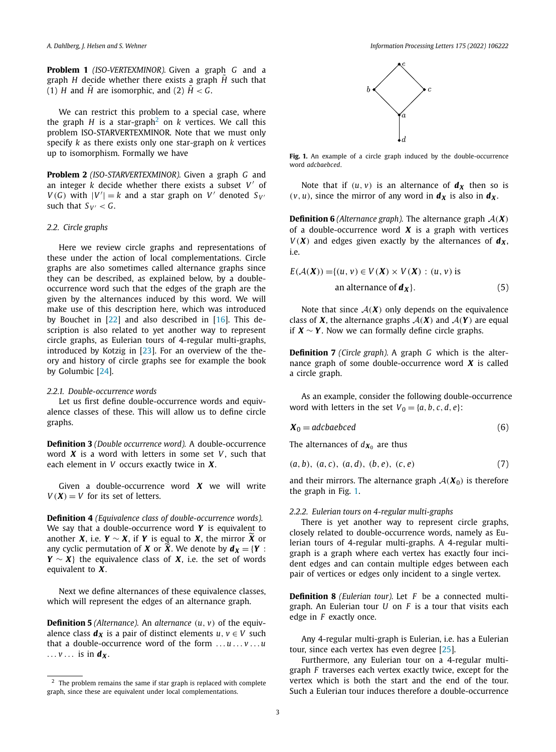<span id="page-3-0"></span>**Problem 1** *(ISO-VERTEXMINOR).* Given a graph *G* and a graph *H* decide whether there exists a graph  $\tilde{H}$  such that (1) *H* and  $\tilde{H}$  are isomorphic, and (2)  $\tilde{H} < G$ .

We can restrict this problem to a special case, where the graph *H* is a star-graph<sup>2</sup> on *k* vertices. We call this problem ISO-STARVERTEXMINOR. Note that we must only specify *k* as there exists only one star-graph on *k* vertices up to isomorphism. Formally we have

**Problem 2** *(ISO-STARVERTEXMINOR).* Given a graph *G* and an integer *k* decide whether there exists a subset *V'* of *V*(*G*) with  $|V'| = k$  and a star graph on *V*<sup> $\prime$ </sup> denoted  $S_{V'}$ such that  $S_{V'} < G$ .

### *2.2. Circle graphs*

Here we review circle graphs and representations of these under the action of local complementations. Circle graphs are also sometimes called alternance graphs since they can be described, as explained below, by a doubleoccurrence word such that the edges of the graph are the given by the alternances induced by this word. We will make use of this description here, which was introduced by Bouchet in [\[22](#page-8-0)] and also described in [[16](#page-8-0)]. This description is also related to yet another way to represent circle graphs, as Eulerian tours of 4-regular multi-graphs, introduced by Kotzig in [[23\]](#page-8-0). For an overview of the theory and history of circle graphs see for example the book by Golumbic [\[24](#page-8-0)].

#### *2.2.1. Double-occurrence words*

Let us first define double-occurrence words and equivalence classes of these. This will allow us to define circle graphs.

**Definition 3** *(Double occurrence word).* A double-occurrence word **X** is a word with letters in some set *V*, such that each element in *V* occurs exactly twice in *X*.

Given a double-occurrence word *X* we will write  $V(X) = V$  for its set of letters.

**Definition 4** *(Equivalence class of double-occurrence words).* We say that a double-occurrence word *Y* is equivalent to another *X*, i.e. *Y* ∼ *X*, if *Y* is equal to *X*, the mirror  $\hat{X}$  or any cyclic permutation of *X* or  $\widetilde{X}$ . We denote by  $d_X = \{Y : X\}$ *Y* ∼ *X*} the equivalence class of *X*, i.e. the set of words equivalent to *X*.

Next we define alternances of these equivalence classes, which will represent the edges of an alternance graph.

**Definition 5** *(Alternance).* An *alternance (u, v)* of the equivalence class  $d_X$  is a pair of distinct elements  $u, v \in V$  such that a double-occurrence word of the form *... u ... v ... u*  $\ldots v \ldots$  is in  $d_X$ .



Fig. 1. An example of a circle graph induced by the double-occurrence word *adcbaebced*.

Note that if  $(u, v)$  is an alternance of  $d<sub>X</sub>$  then so is  $(v, u)$ , since the mirror of any word in  $d_X$  is also in  $d_X$ .

**Definition 6** *(Alternance graph).* The alternance graph  $A(X)$ of a double-occurrence word *X* is a graph with vertices  $V(X)$  and edges given exactly by the alternances of  $d_X$ ,  $i.e.$ 

$$
E(\mathcal{A}(\mathbf{X})) = \{(u, v) \in V(\mathbf{X}) \times V(\mathbf{X}) : (u, v) \text{ is}
$$
  
an alternate of  $\mathbf{d}_{\mathbf{X}}$ . (5)

Note that since  $A(X)$  only depends on the equivalence class of *X*, the alternance graphs  $A(X)$  and  $A(Y)$  are equal if *X* ∼ *Y* . Now we can formally define circle graphs.

**Definition 7** *(Circle graph).* A graph *G* which is the alternance graph of some double-occurrence word *X* is called a circle graph.

As an example, consider the following double-occurrence word with letters in the set  $V_0 = \{a, b, c, d, e\}$ :

$$
\boldsymbol{X}_0 = \text{adcbaebced} \tag{6}
$$

The alternances of  $d_{X_0}$  are thus

 $(a, b), (a, c), (a, d), (b, e), (c, e)$  (7)

and their mirrors. The alternance graph  $A(X_0)$  is therefore the graph in Fig. 1.

#### *2.2.2. Eulerian tours on 4-regular multi-graphs*

There is yet another way to represent circle graphs, closely related to double-occurrence words, namely as Eulerian tours of 4-regular multi-graphs. A 4-regular multigraph is a graph where each vertex has exactly four incident edges and can contain multiple edges between each pair of vertices or edges only incident to a single vertex.

**Definition 8** *(Eulerian tour).* Let *F* be a connected multigraph. An Eulerian tour *U* on *F* is a tour that visits each edge in *F* exactly once.

Any 4-regular multi-graph is Eulerian, i.e. has a Eulerian tour, since each vertex has even degree [\[25](#page-8-0)].

Furthermore, any Eulerian tour on a 4-regular multigraph *F* traverses each vertex exactly twice, except for the vertex which is both the start and the end of the tour. Such a Eulerian tour induces therefore a double-occurrence

 $2$  The problem remains the same if star graph is replaced with complete graph, since these are equivalent under local complementations.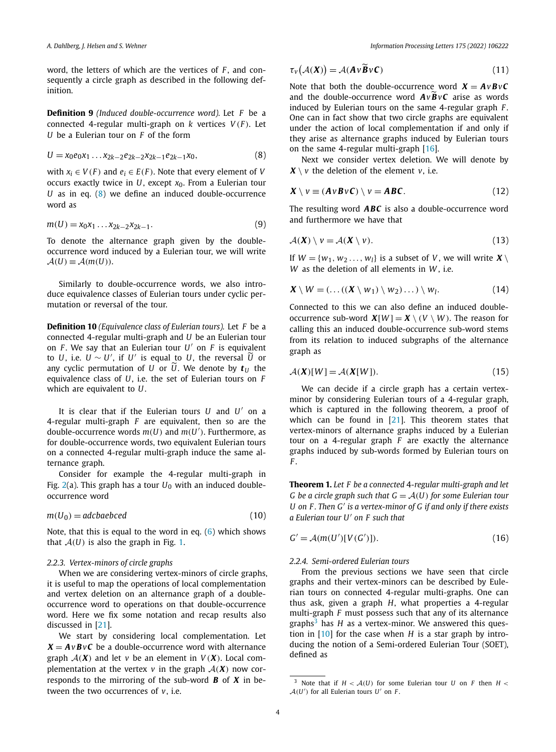word, the letters of which are the vertices of *F* , and consequently a circle graph as described in the following definition.

**Definition 9** *(Induced double-occurrence word).* Let *F* be a connected 4-regular multi-graph on *k* vertices *V (F )*. Let *U* be a Eulerian tour on *F* of the form

$$
U = x_0 e_0 x_1 \dots x_{2k-2} e_{2k-2} x_{2k-1} e_{2k-1} x_0, \tag{8}
$$

with  $x_i \in V(F)$  and  $e_i \in E(F)$ . Note that every element of *V* occurs exactly twice in *U*, except  $x_0$ . From a Eulerian tour *U* as in eq. (8) we define an induced double-occurrence word as

$$
m(U) = x_0 x_1 \dots x_{2k-2} x_{2k-1}.
$$
\n(9)

To denote the alternance graph given by the doubleoccurrence word induced by a Eulerian tour, we will write  $A(U) \equiv A(m(U)).$ 

Similarly to double-occurrence words, we also introduce equivalence classes of Eulerian tours under cyclic permutation or reversal of the tour.

**Definition 10** *(Equivalence class of Eulerian tours).* Let *F* be a connected 4-regular multi-graph and *U* be an Eulerian tour on  $F$ . We say that an Eulerian tour  $U'$  on  $F$  is equivalent to *U*, i.e.  $U \sim U'$ , if *U'* is equal to *U*, the reversal  $\widetilde{U}$  or any cyclic permutation of *U* or *U*. We denote by  $t_U$  the equivalence class of *U*, i.e. the set of Eulerian tours on *F* which are equivalent to *U*.

It is clear that if the Eulerian tours *U* and *U'* on a 4-regular multi-graph *F* are equivalent, then so are the double-occurrence words  $m(U)$  and  $m(U')$ . Furthermore, as for double-occurrence words, two equivalent Eulerian tours on a connected 4-regular multi-graph induce the same alternance graph.

Consider for example the 4-regular multi-graph in Fig.  $2(a)$  $2(a)$ . This graph has a tour  $U_0$  with an induced doubleoccurrence word

$$
m(U_0) = adcbaebced
$$
 (10)

Note, that this is equal to the word in eq. [\(6\)](#page-3-0) which shows that  $A(U)$  is also the graph in Fig. [1.](#page-3-0)

#### *2.2.3. Vertex-minors of circle graphs*

When we are considering vertex-minors of circle graphs, it is useful to map the operations of local complementation and vertex deletion on an alternance graph of a doubleoccurrence word to operations on that double-occurrence word. Here we fix some notation and recap results also discussed in [\[21\]](#page-8-0).

We start by considering local complementation. Let  $X = AvBvC$  be a double-occurrence word with alternance graph  $A(X)$  and let *v* be an element in  $V(X)$ . Local complementation at the vertex *v* in the graph  $A(X)$  now corresponds to the mirroring of the sub-word *B* of *X* in between the two occurrences of *v*, i.e.

$$
\tau_{\nu}(\mathcal{A}(\boldsymbol{X})) = \mathcal{A}(\boldsymbol{A}\nu\widetilde{\boldsymbol{B}}\nu\boldsymbol{C})
$$
\n(11)

Note that both the double-occurrence word  $X = AvBvC$ and the double-occurrence word  $A \vee B \vee C$  arise as words induced by Eulerian tours on the same 4-regular graph *F* . One can in fact show that two circle graphs are equivalent under the action of local complementation if and only if they arise as alternance graphs induced by Eulerian tours on the same 4-regular multi-graph [\[16](#page-8-0)].

Next we consider vertex deletion. We will denote by  $X \setminus v$  the deletion of the element  $v$ , i.e.

$$
\mathbf{X} \setminus v \equiv (\mathbf{A} \mathbf{v} \mathbf{B} \mathbf{v} \mathbf{C}) \setminus v = \mathbf{A} \mathbf{B} \mathbf{C}.
$$
 (12)

The resulting word *ABC* is also a double-occurrence word and furthermore we have that

$$
\mathcal{A}(\boldsymbol{X}) \setminus \nu = \mathcal{A}(\boldsymbol{X} \setminus \nu). \tag{13}
$$

If  $W = \{w_1, w_2, \ldots, w_l\}$  is a subset of *V*, we will write  $X \setminus$ *W* as the deletion of all elements in *W*, i.e.

$$
\mathbf{X} \setminus W = (\dots((\mathbf{X} \setminus w_1) \setminus w_2) \dots) \setminus w_l. \tag{14}
$$

Connected to this we can also define an induced doubleoccurrence sub-word  $X[W] = X \setminus (V \setminus W)$ . The reason for calling this an induced double-occurrence sub-word stems from its relation to induced subgraphs of the alternance graph as

$$
A(\mathbf{X})[W] = A(\mathbf{X}[W]). \tag{15}
$$

We can decide if a circle graph has a certain vertexminor by considering Eulerian tours of a 4-regular graph, which is captured in the following theorem, a proof of which can be found in  $[21]$  $[21]$ . This theorem states that vertex-minors of alternance graphs induced by a Eulerian tour on a 4-regular graph *F* are exactly the alternance graphs induced by sub-words formed by Eulerian tours on *F* .

**Theorem 1.** *Let F be a connected* 4*-regular multi-graph and let G* be a circle graph such that  $G = \mathcal{A}(U)$  for some Eulerian tour *U on F . Then G is a vertex-minor of G if and only if there exists a Eulerian tour U on F such that*

$$
G' = \mathcal{A}(m(U')[V(G')]).
$$
\n(16)

### *2.2.4. Semi-ordered Eulerian tours*

From the previous sections we have seen that circle graphs and their vertex-minors can be described by Eulerian tours on connected 4-regular multi-graphs. One can thus ask, given a graph *H*, what properties a 4-regular multi-graph *F* must possess such that any of its alternance graphs<sup>3</sup> has *H* as a vertex-minor. We answered this question in [\[10\]](#page-8-0) for the case when *H* is a star graph by introducing the notion of a Semi-ordered Eulerian Tour (SOET), defined as

<sup>&</sup>lt;sup>3</sup> Note that if  $H < A(U)$  for some Eulerian tour *U* on *F* then  $H < A(U)$  $A(U')$  for all Eulerian tours  $U'$  on  $F$ .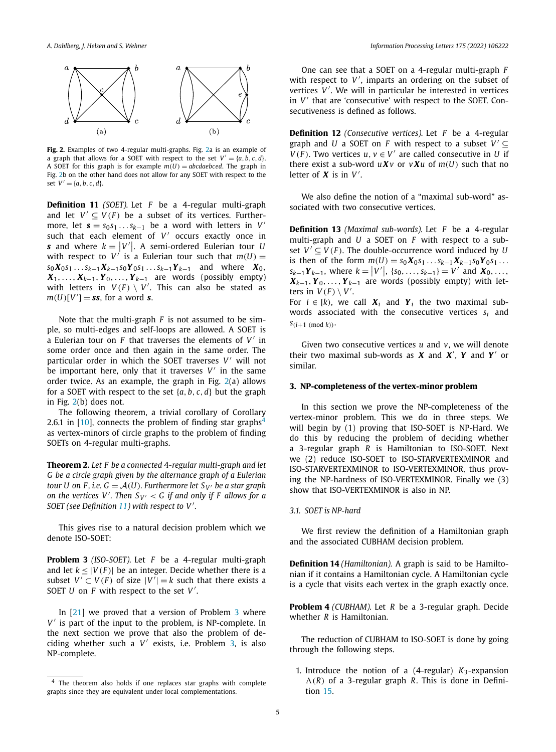<span id="page-5-0"></span>

**Fig. 2.** Examples of two 4-regular multi-graphs. Fig. 2a is an example of a graph that allows for a SOET with respect to the set  $V' = \{a, b, c, d\}$ . A SOET for this graph is for example  $m(U) = abcdaebeed$ . The graph in Fig. 2b on the other hand does not allow for any SOET with respect to the set  $V' = \{a, b, c, d\}.$ 

**Definition 11** *(SOET).* Let *F* be a 4-regular multi-graph and let  $V' \subseteq V(F)$  be a subset of its vertices. Furthermore, let  $\mathbf{s} = s_0 s_1 \dots s_{k-1}$  be a word with letters in *V'* such that each element of V' occurs exactly once in *s* and where  $k = |V'|$ . A semi-ordered Eulerian tour *U* with respect to  $V'$  is a Eulerian tour such that  $m(U) =$  $s_0X_0s_1...s_{k-1}X_{k-1}s_0Y_0s_1...s_{k-1}Y_{k-1}$  and where  $X_0$ *, X*1*,..., Xk*−1*, Y* <sup>0</sup>*,..., Yk*−<sup>1</sup> are words (possibly empty) with letters in  $V(F) \setminus V'$ . This can also be stated as  $m(U)[V'] =$ **ss**, for a word **s**.

Note that the multi-graph *F* is not assumed to be simple, so multi-edges and self-loops are allowed. A SOET is a Eulerian tour on *F* that traverses the elements of *V* in some order once and then again in the same order. The particular order in which the SOET traverses *V'* will not be important here, only that it traverses  $V'$  in the same order twice. As an example, the graph in Fig. 2(a) allows for a SOET with respect to the set {*a, b, c,d*} but the graph in Fig. 2(b) does not.

The following theorem, a trivial corollary of Corollary 2.6.1 in [\[10\]](#page-8-0), connects the problem of finding star graphs<sup>4</sup> as vertex-minors of circle graphs to the problem of finding SOETs on 4-regular multi-graphs.

**Theorem 2.** *Let F be a connected* 4*-regular multi-graph and let G be a circle graph given by the alternance graph of a Eulerian tour U* on *F*, *i.e.*  $G = \mathcal{A}(U)$ *. Furthermore let*  $S_V$  *be a star graph on* the vertices V'. Then  $S_{V'} < G$  if and only if F allows for a *SOET (see Definition 11) with respect to V .*

This gives rise to a natural decision problem which we denote ISO-SOET:

**Problem 3** *(ISO-SOET).* Let *F* be a 4-regular multi-graph and let  $k \leq |V(F)|$  be an integer. Decide whether there is a subset  $V' \subset V(F)$  of size  $|V'| = k$  such that there exists a SOET *U* on *F* with respect to the set *V'*.

In  $[21]$  $[21]$  we proved that a version of Problem 3 where *V* is part of the input to the problem, is NP-complete. In the next section we prove that also the problem of deciding whether such a *V* exists, i.e. Problem 3, is also NP-complete.

One can see that a SOET on a 4-regular multi-graph *F* with respect to V', imparts an ordering on the subset of vertices V'. We will in particular be interested in vertices in *V'* that are 'consecutive' with respect to the SOET. Consecutiveness is defined as follows.

**Definition 12** *(Consecutive vertices).* Let *F* be a 4-regular graph and *U* a SOET on *F* with respect to a subset  $V' \subset$ *V*(*F*). Two vertices *u*,  $v \in V'$  are called consecutive in *U* if there exist a sub-word  $uXv$  or  $vXu$  of  $m(U)$  such that no letter of **X** is in  $V'$ .

We also define the notion of a "maximal sub-word" associated with two consecutive vertices.

**Definition 13** *(Maximal sub-words).* Let *F* be a 4-regular multi-graph and *U* a SOET on *F* with respect to a subset  $V' \subset V(F)$ . The double-occurrence word induced by *U* is then of the form  $m(U) = s_0 X_0 s_1 ... s_{k-1} X_{k-1} s_0 Y_0 s_1 ...$  $s_{k-1}$ *Y*<sub>*k*−1</sub>, where  $k = |V'|$ , {*s*<sub>0</sub>, ...,,*s*<sub>*k*−1</sub>} = *V*<sup>'</sup> and *<i>X*<sub>0</sub>, ...,  $X_{k-1}$ ,  $Y_0$ , ...,  $Y_{k-1}$  are words (possibly empty) with letters in  $V(F) \setminus V'$ .

For  $i \in [k]$ , we call  $X_i$  and  $Y_i$  the two maximal subwords associated with the consecutive vertices *si* and  $S(i+1 \pmod{k}$ .

Given two consecutive vertices *u* and *v*, we will denote their two maximal sub-words as  $X$  and  $X'$ ,  $Y$  and  $Y'$  or similar.

#### **3. NP-completeness of the vertex-minor problem**

In this section we prove the NP-completeness of the vertex-minor problem. This we do in three steps. We will begin by (1) proving that ISO-SOET is NP-Hard. We do this by reducing the problem of deciding whether a 3-regular graph *R* is Hamiltonian to ISO-SOET. Next we (2) reduce ISO-SOET to ISO-STARVERTEXMINOR and ISO-STARVERTEXMINOR to ISO-VERTEXMINOR, thus proving the NP-hardness of ISO-VERTEXMINOR. Finally we (3) show that ISO-VERTEXMINOR is also in NP.

*3.1. SOET is NP-hard*

We first review the definition of a Hamiltonian graph and the associated CUBHAM decision problem.

**Definition 14** *(Hamiltonian).* A graph is said to be Hamiltonian if it contains a Hamiltonian cycle. A Hamiltonian cycle is a cycle that visits each vertex in the graph exactly once.

**Problem 4** *(CUBHAM).* Let *R* be a 3-regular graph. Decide whether *R* is Hamiltonian.

The reduction of CUBHAM to ISO-SOET is done by going through the following steps.

1. Introduce the notion of a  $(4$ -regular)  $K_3$ -expansion  $\Lambda(R)$  of a 3-regular graph *R*. This is done in Definition [15.](#page-6-0)

<sup>4</sup> The theorem also holds if one replaces star graphs with complete graphs since they are equivalent under local complementations.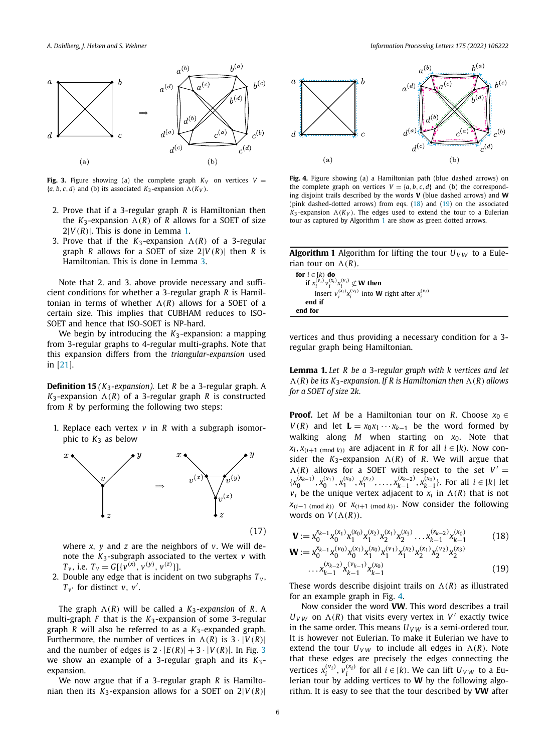<span id="page-6-0"></span>

**Fig. 3.** Figure showing (a) the complete graph  $K_V$  on vertices  $V =$  $\{a, b, c, d\}$  and (b) its associated  $K_3$ -expansion  $\Lambda(K_V)$ .

- 2. Prove that if a 3-regular graph *R* is Hamiltonian then the  $K_3$ -expansion  $\Lambda(R)$  of R allows for a SOET of size  $2|V(R)|$ . This is done in Lemma 1.
- 3. Prove that if the  $K_3$ -expansion  $\Lambda(R)$  of a 3-regular graph *R* allows for a SOET of size  $2|V(R)|$  then *R* is Hamiltonian. This is done in Lemma [3.](#page-7-0)

Note that 2. and 3. above provide necessary and sufficient conditions for whether a 3-regular graph *R* is Hamiltonian in terms of whether  $\Lambda(R)$  allows for a SOET of a certain size. This implies that CUBHAM reduces to ISO-SOET and hence that ISO-SOET is NP-hard.

We begin by introducing the *K*3-expansion: a mapping from 3-regular graphs to 4-regular multi-graphs. Note that this expansion differs from the *triangular-expansion* used in [\[21](#page-8-0)].

**Definition 15** *(K*3*-expansion).* Let *R* be a 3-regular graph. A  $K_3$ -expansion  $\Lambda(R)$  of a 3-regular graph *R* is constructed from *R* by performing the following two steps:

1. Replace each vertex *v* in *R* with a subgraph isomorphic to  $K_3$  as below



where *x*, *y* and *z* are the neighbors of *v*. We will denote the *K*3-subgraph associated to the vertex *v* with *T*<sub>*v*</sub>, i.e.  $T_v = G[\{v^{(x)}, v^{(y)}, v^{(z)}\}].$ 

2. Double any edge that is incident on two subgraphs  $T_v$ ,  $T_{v'}$  for distinct *v*, *v'*.

The graph  $\Lambda(R)$  will be called a  $K_3$ -expansion of R. A multi-graph *F* that is the *K*3-expansion of some 3-regular graph *R* will also be referred to as a *K*3-expanded graph. Furthermore, the number of vertices in  $\Lambda(R)$  is  $3 \cdot |V(R)|$ and the number of edges is  $2 \cdot |E(R)| + 3 \cdot |V(R)|$ . In Fig. 3 we show an example of a 3-regular graph and its *K*3 expansion.

We now argue that if a 3-regular graph *R* is Hamiltonian then its  $K_3$ -expansion allows for a SOET on  $2|V(R)|$ 



**Fig. 4.** Figure showing (a) a Hamiltonian path (blue dashed arrows) on the complete graph on vertices  $V = \{a, b, c, d\}$  and (b) the corresponding disjoint trails described by the words **V** (blue dashed arrows) and **W** (pink dashed-dotted arrows) from eqs. (18) and (19) on the associated  $K_3$ -expansion  $\Lambda(K_V)$ . The edges used to extend the tour to a Eulerian tour as captured by Algorithm 1 are show as green dotted arrows.

**Algorithm 1** Algorithm for lifting the tour  $U_{VW}$  to a Eulerian tour on  $\Lambda(R)$ .

**for** *i* ∈ [*k)* **do if**  $x_i^{(v_i)}v_i^{(x_i)}x_i^{(v_i)} \not\subset \mathbf{W}$  then Insert  $v_i^{(x_i)}x_i^{(v_i)}$  into **W** right after  $x_i^{(v_i)}$ **end if end for**

vertices and thus providing a necessary condition for a 3 regular graph being Hamiltonian.

**Lemma 1.** *Let R be a* 3*-regular graph with k vertices and let*  $\Lambda(R)$  *be its*  $K_3$ -expansion. If *R* is *Hamiltonian then*  $\Lambda(R)$  *allows for a SOET of size* 2*k.*

**Proof.** Let *M* be a Hamiltonian tour on *R*. Choose  $x_0 \in$ *V*(*R*) and let **L** =  $x_0x_1 \cdots x_{k-1}$  be the word formed by walking along  $M$  when starting on  $x_0$ . Note that  $x_i, x_{i+1 \pmod{k}}$  are adjacent in *R* for all  $i \in [k]$ . Now consider the  $K_3$ -expansion  $\Lambda(R)$  of R. We will argue that  $\Lambda(R)$  allows for a SOET with respect to the set  $V' =$  ${x_0^{(x_{k-1})}, x_0^{(x_1)}, x_1^{(x_0)}, x_1^{(x_2)}, \ldots, x_{k-1}^{(x_{k-2})}, x_{k-1}^{(x_0)}\}.$  For all  $i \in [k]$  let  $v_i$  be the unique vertex adjacent to  $x_i$  in  $\Lambda(R)$  that is not *x*<sub>(*i*−1 (mod *k*)) or *x*<sub>(*i*+1 (mod *k*)). Now consider the following</sub></sub> words on  $V(\Lambda(R))$ .

$$
\mathbf{V} := x_0^{x_{k-1}} x_0^{(x_1)} x_1^{(x_0)} x_1^{(x_2)} x_2^{(x_1)} x_2^{(x_3)} \dots x_{k-1}^{(x_{k-2})} x_{k-1}^{(x_0)} \tag{18}
$$
\n
$$
\mathbf{W} := x_0^{x_{k-1}} x_1^{(v_0)} x_1^{(x_1)} x_2^{(x_0)} x_2^{(v_1)} x_2^{(x_2)} x_3^{(x_1)} x_3^{(v_2)} x_3^{(x_3)}
$$

$$
:= x_0^{x-1} x_0^{(v_0)} x_0^{(x_1)} x_1^{(x_1)} x_1^{(x_1)} x_1^{(x_2)} x_2^{(x_1)} x_2^{(x_2)} x_2^{(x_3)}
$$
  
...
$$
x_{k-1}^{(x_{k-2})} x_{k-1}^{(v_{k-1})} x_{k-1}^{(x_0)}
$$
(19)

These words describe disjoint trails on  $\Lambda(R)$  as illustrated for an example graph in Fig. 4.

Now consider the word **VW**. This word describes a trail  $U_{VW}$  on  $\Lambda(R)$  that visits every vertex in  $V'$  exactly twice in the same order. This means  $U_{VW}$  is a semi-ordered tour. It is however not Eulerian. To make it Eulerian we have to extend the tour  $U_{VW}$  to include all edges in  $\Lambda(R)$ . Note that these edges are precisely the edges connecting the vertices  $x_i^{(v_i)}, v_i^{(x_i)}$  for all  $i \in [k)$ . We can lift  $U_{VW}$  to a Eulerian tour by adding vertices to **W** by the following algorithm. It is easy to see that the tour described by **VW** after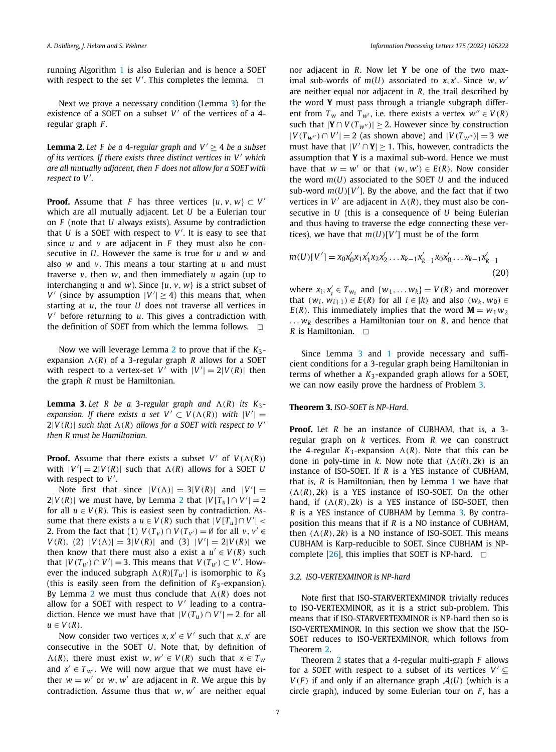<span id="page-7-0"></span>running Algorithm [1](#page-6-0) is also Eulerian and is hence a SOET with respect to the set  $V'$ . This completes the lemma.  $\Box$ 

Next we prove a necessary condition (Lemma 3) for the existence of a SOET on a subset V' of the vertices of a 4regular graph *F* .

**Lemma 2.** Let F be a 4-regular graph and  $V' \geq 4$  be a subset *of its vertices. If there exists three distinct vertices in V which are all mutually adjacent, then F does not allow for a SOET with respect to V .*

**Proof.** Assume that *F* has three vertices  $\{u, v, w\} \subset V'$ which are all mutually adjacent. Let *U* be a Eulerian tour on *F* (note that *U* always exists). Assume by contradiction that  $U$  is a SOET with respect to  $V'$ . It is easy to see that since *u* and *v* are adjacent in *F* they must also be consecutive in *U*. However the same is true for *u* and *w* and also *w* and *v*. This means a tour starting at *u* and must traverse *v*, then *w*, and then immediately *u* again (up to interchanging *u* and *w*). Since {*u, v, w*} is a strict subset of *V'* (since by assumption  $|V'| \ge 4$ ) this means that, when starting at *u*, the tour *U* does not traverse all vertices in *V* before returning to *u*. This gives a contradiction with the definition of SOET from which the lemma follows.  $\Box$ 

Now we will leverage Lemma 2 to prove that if the *K*3 expansion  $\Lambda(R)$  of a 3-regular graph *R* allows for a SOET with respect to a vertex-set V' with  $|V'| = 2|V(R)|$  then the graph *R* must be Hamiltonian.

**Lemma 3.** Let R be a 3-regular graph and  $\Lambda(R)$  its  $K_3$ *expansion. If there exists a set*  $V' \subset V(\Lambda(R))$  *with*  $|V'| =$  $2|V(R)|$  *such that*  $\Lambda(R)$  *allows for a SOET with respect to*  $V'$ *then R must be Hamiltonian.*

**Proof.** Assume that there exists a subset  $V'$  of  $V(\Lambda(R))$ with  $|V'| = 2|V(R)|$  such that  $\Lambda(R)$  allows for a SOET *U* with respect to  $V'$ .

Note first that since  $|V(\Lambda)| = 3|V(R)|$  and  $|V'| =$  $2|V(R)|$  we must have, by Lemma 2 that  $|V[T_u] \cap V'| = 2$ for all  $u \in V(R)$ . This is easiest seen by contradiction. Assume that there exists a  $u \in V(R)$  such that  $|V[T_u] \cap V'|$  < 2. From the fact that (1)  $V(T_v) \cap V(T_{v'}) = \emptyset$  for all  $v, v' \in V$ *V*(*R*), (2)  $|V(\Lambda)| = 3|V(R)|$  and (3)  $|V'| = 2|V(R)|$  we then know that there must also a exist a  $u' \in V(R)$  such that  $|V(T_{u'}) \cap V'| = 3$ . This means that  $V(T_{u'}) \subset V'$ . However the induced subgraph  $\Lambda(R)[T_{u'}]$  is isomorphic to  $K_3$ (this is easily seen from the definition of *K*<sub>3</sub>-expansion). By Lemma 2 we must thus conclude that  $\Lambda(R)$  does not allow for a SOET with respect to  $V'$  leading to a contradiction. Hence we must have that  $|V(T_u) \cap V'| = 2$  for all  $u \in V(R)$ .

Now consider two vertices  $x, x' \in V'$  such that  $x, x'$  are consecutive in the SOET *U*. Note that, by definition of *(R)*, there must exist  $w, w' \in V(R)$  such that  $x \in T_w$ and  $x' \in T_{w'}$ . We will now argue that we must have either  $w = w'$  or  $w, w'$  are adjacent in R. We argue this by contradiction. Assume thus that *w*, *w'* are neither equal

nor adjacent in *R*. Now let **Y** be one of the two maximal sub-words of  $m(U)$  associated to  $x, x'$ . Since  $w, w'$ are neither equal nor adjacent in *R*, the trail described by the word **Y** must pass through a triangle subgraph different from  $T_w$  and  $T_{w'}$ , i.e. there exists a vertex  $w'' \in V(R)$ such that  $|\mathbf{Y} \cap V(T_{w''})| \geq 2$ . However since by construction  $|V(T_{w''}) ∩ V'| = 2$  (as shown above) and  $|V(T_{w''})| = 3$  we must have that  $|V' \cap Y| \ge 1$ . This, however, contradicts the assumption that **Y** is a maximal sub-word. Hence we must have that  $w = w'$  or that  $(w, w') \in E(R)$ . Now consider the word *m(U)* associated to the SOET *U* and the induced sub-word  $m(U)[V']$ . By the above, and the fact that if two vertices in  $V'$  are adjacent in  $\Lambda(R)$ , they must also be consecutive in *U* (this is a consequence of *U* being Eulerian and thus having to traverse the edge connecting these vertices), we have that  $m(U)[V']$  must be of the form

$$
m(U)[V'] = x_0x'_0x_1x'_1x_2x'_2...x_{k-1}x'_{k-1}x_0x'_0...x_{k-1}x'_{k-1}
$$
\n(20)

where  $x_i$ ,  $x'_i \in T_{w_i}$  and  $\{w_1, \ldots, w_k\} = V(R)$  and moreover that  $(w_i, w_{i+1}) \in E(R)$  for all  $i \in [k]$  and also  $(w_k, w_0) \in$ *E*(*R*). This immediately implies that the word  $M = w_1w_2$ *... wk* describes a Hamiltonian tour on *R*, and hence that *R* is Hamiltonian.  $\Box$ 

Since Lemma 3 and [1](#page-6-0) provide necessary and sufficient conditions for a 3-regular graph being Hamiltonian in terms of whether a *K*3-expanded graph allows for a SOET, we can now easily prove the hardness of Problem [3.](#page-5-0)

#### **Theorem 3.** *ISO-SOET is NP-Hard.*

**Proof.** Let *R* be an instance of CUBHAM, that is, a 3 regular graph on *k* vertices. From *R* we can construct the 4-regular  $K_3$ -expansion  $\Lambda(R)$ . Note that this can be done in poly-time in *k*. Now note that  $(\Lambda(R), 2k)$  is an instance of ISO-SOET. If *R* is a YES instance of CUBHAM, that is, *R* is Hamiltonian, then by Lemma [1](#page-6-0) we have that  $(A(R), 2k)$  is a YES instance of ISO-SOET. On the other hand, if  $(\Lambda(R), 2k)$  is a YES instance of ISO-SOET, then *R* is a YES instance of CUBHAM by Lemma 3. By contraposition this means that if *R* is a NO instance of CUBHAM, then  $(\Lambda(R), 2k)$  is a NO instance of ISO-SOET. This means CUBHAM is Karp-reducible to SOET. Since CUBHAM is NP-complete [[26](#page-8-0)], this implies that SOET is NP-hard.  $\Box$ 

#### *3.2. ISO-VERTEXMINOR is NP-hard*

Note first that ISO-STARVERTEXMINOR trivially reduces to ISO-VERTEXMINOR, as it is a strict sub-problem. This means that if ISO-STARVERTEXMINOR is NP-hard then so is ISO-VERTEXMINOR. In this section we show that the ISO-SOET reduces to ISO-VERTEXMINOR, which follows from Theorem [2](#page-5-0).

Theorem [2](#page-5-0) states that a 4-regular multi-graph *F* allows for a SOET with respect to a subset of its vertices  $V' \subseteq$  $V(F)$  if and only if an alternance graph  $A(U)$  (which is a circle graph), induced by some Eulerian tour on *F* , has a